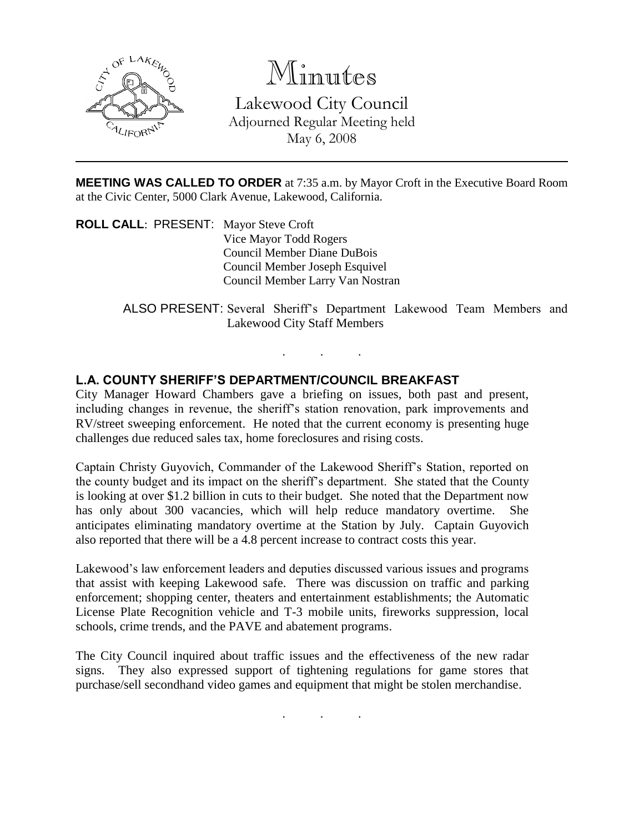

Minutes

Lakewood City Council Adjourned Regular Meeting held May 6, 2008

**MEETING WAS CALLED TO ORDER** at 7:35 a.m. by Mayor Croft in the Executive Board Room at the Civic Center, 5000 Clark Avenue, Lakewood, California.

**ROLL CALL**: PRESENT: Mayor Steve Croft Vice Mayor Todd Rogers Council Member Diane DuBois Council Member Joseph Esquivel Council Member Larry Van Nostran

> ALSO PRESENT: Several Sheriff's Department Lakewood Team Members and Lakewood City Staff Members

> > . . .

## **L.A. COUNTY SHERIFF'S DEPARTMENT/COUNCIL BREAKFAST**

City Manager Howard Chambers gave a briefing on issues, both past and present, including changes in revenue, the sheriff's station renovation, park improvements and RV/street sweeping enforcement. He noted that the current economy is presenting huge challenges due reduced sales tax, home foreclosures and rising costs.

Captain Christy Guyovich, Commander of the Lakewood Sheriff's Station, reported on the county budget and its impact on the sheriff's department. She stated that the County is looking at over \$1.2 billion in cuts to their budget. She noted that the Department now has only about 300 vacancies, which will help reduce mandatory overtime. She anticipates eliminating mandatory overtime at the Station by July. Captain Guyovich also reported that there will be a 4.8 percent increase to contract costs this year.

Lakewood's law enforcement leaders and deputies discussed various issues and programs that assist with keeping Lakewood safe. There was discussion on traffic and parking enforcement; shopping center, theaters and entertainment establishments; the Automatic License Plate Recognition vehicle and T-3 mobile units, fireworks suppression, local schools, crime trends, and the PAVE and abatement programs.

The City Council inquired about traffic issues and the effectiveness of the new radar signs. They also expressed support of tightening regulations for game stores that purchase/sell secondhand video games and equipment that might be stolen merchandise.

. . .